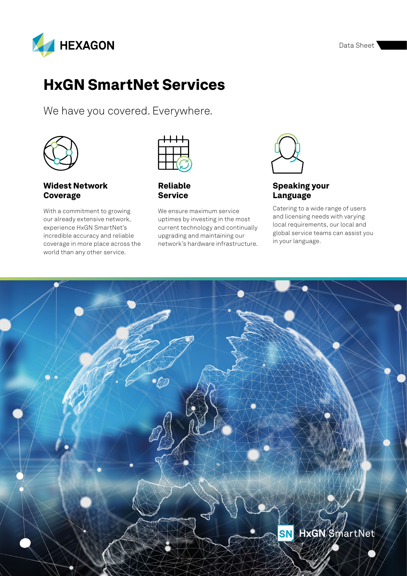

We have you covered. Everywhere.



#### Widest Network Coverage

With a commitment to growing our already extensive network, experience HxGN SmartNet's incredible accuracy and reliable coverage in more place across the world than any other service.



Reliable Service

We ensure maximum service uptimes by investing in the most current technology and continually upgrading and maintaining our network's hardware infrastructure.



#### Speaking your Language

Catering to a wide range of users and licensing needs with varying local requirements, our local and global service teams can assist you in your language.

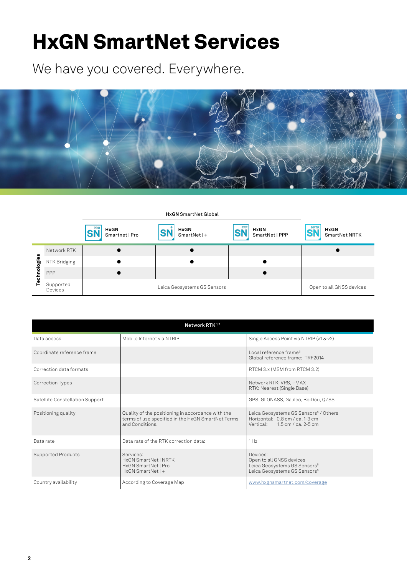We have you covered. Everywhere.



**HxGN** SmartNet Global

|           |                             | PRO<br><b>HxGN</b><br>Smartnet   Pro | <b>HxGN</b><br>$SmartNet +$ | <b>PPP</b><br><b>HxGN</b><br>SmartNet   PPP | <b>NRTK</b><br><b>HxGN</b><br>SmartNet NRTK |
|-----------|-----------------------------|--------------------------------------|-----------------------------|---------------------------------------------|---------------------------------------------|
| gies<br>٩ | Network RTK                 |                                      |                             |                                             |                                             |
|           | RTK Bridging                |                                      |                             |                                             |                                             |
|           | PPP                         |                                      |                             |                                             |                                             |
|           | Supported<br><b>Devices</b> |                                      | Leica Geosystems GS Sensors |                                             | Open to all GNSS devices                    |

| Network RTK <sup>1,2</sup>      |                                                                                                                           |                                                                                                                                 |  |  |  |  |
|---------------------------------|---------------------------------------------------------------------------------------------------------------------------|---------------------------------------------------------------------------------------------------------------------------------|--|--|--|--|
| Data access                     | Mobile Internet via NTRIP                                                                                                 | Single Access Point via NTRIP (v1 & v2)                                                                                         |  |  |  |  |
| Coordinate reference frame      |                                                                                                                           | Local reference frame <sup>3</sup><br>Global reference frame: ITRF2014                                                          |  |  |  |  |
| Correction data formats         |                                                                                                                           | RTCM 3.x (MSM from RTCM 3.2)                                                                                                    |  |  |  |  |
| <b>Correction Types</b>         |                                                                                                                           | Network RTK: VRS, i-MAX<br>RTK: Nearest (Single Base)                                                                           |  |  |  |  |
| Satellite Constellation Support |                                                                                                                           | GPS, GLONASS, Galileo, BeiDou, QZSS                                                                                             |  |  |  |  |
| Positioning quality             | Quality of the positioning in accordance with the<br>terms of use specified in the HxGN SmartNet Terms<br>and Conditions. | Leica Geosystems GS Sensors <sup>5</sup> / Others<br>Horizontal: 0.8 cm / ca. 1-3 cm<br>Vertical: $1.5 \text{ cm}$ / ca. 2-5 cm |  |  |  |  |
| Data rate                       | Data rate of the RTK correction data:                                                                                     | 1 Hz                                                                                                                            |  |  |  |  |
| Supported Products              | Services:<br>HxGN SmartNet   NRTK<br>HxGN SmartNet   Pro<br>$HxGN$ SmartNet   +                                           | Devices:<br>Open to all GNSS devices<br>Leica Geosystems GS Sensors <sup>5</sup><br>Leica Geosystems GS Sensors <sup>5</sup>    |  |  |  |  |
| Country availability            | According to Coverage Map                                                                                                 | www.hxgnsmartnet.com/coverage                                                                                                   |  |  |  |  |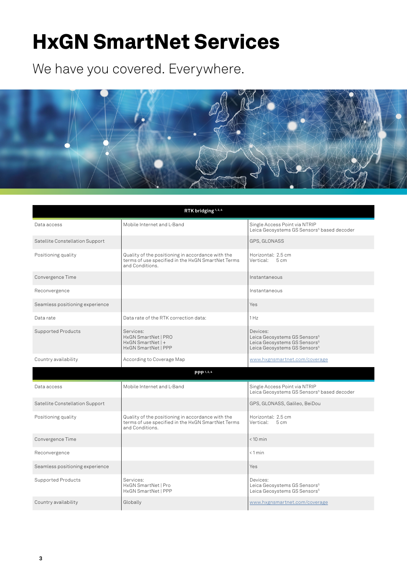We have you covered. Everywhere.



| RTK bridging <sup>1,2,4</sup>   |                                                                                                                           |                                                                                                                                              |  |  |  |
|---------------------------------|---------------------------------------------------------------------------------------------------------------------------|----------------------------------------------------------------------------------------------------------------------------------------------|--|--|--|
| Data access                     | Mobile Internet and L-Band                                                                                                | Single Access Point via NTRIP<br>Leica Geosystems GS Sensors <sup>5</sup> based decoder                                                      |  |  |  |
| Satellite Constellation Support |                                                                                                                           | GPS, GLONASS                                                                                                                                 |  |  |  |
| Positioning quality             | Quality of the positioning in accordance with the<br>terms of use specified in the HxGN SmartNet Terms<br>and Conditions. | Horizontal: 2.5 cm<br>Vertical: 5 cm                                                                                                         |  |  |  |
| Convergence Time                |                                                                                                                           | Instantaneous                                                                                                                                |  |  |  |
| Reconvergence                   |                                                                                                                           | Instantaneous                                                                                                                                |  |  |  |
| Seamless positioning experience |                                                                                                                           | Yes                                                                                                                                          |  |  |  |
| Data rate                       | Data rate of the RTK correction data:                                                                                     | 1 H <sub>z</sub>                                                                                                                             |  |  |  |
| Supported Products              | Services:<br>HxGN SmartNet   PRO<br>HxGN SmartNet   +<br>HxGN SmartNet   PPP                                              | Devices:<br>Leica Geosystems GS Sensors <sup>5</sup><br>Leica Geosystems GS Sensors <sup>5</sup><br>Leica Geosystems GS Sensors <sup>5</sup> |  |  |  |
| Country availability            | According to Coverage Map                                                                                                 | www.hxgnsmartnet.com/coverage                                                                                                                |  |  |  |
|                                 | PPP 1, 2, 4                                                                                                               |                                                                                                                                              |  |  |  |
| Data access                     | Mobile Internet and L-Band                                                                                                | Single Access Point via NTRIP<br>Leica Geosystems GS Sensors <sup>5</sup> based decoder                                                      |  |  |  |
| Satellite Constellation Support |                                                                                                                           | GPS, GLONASS, Galileo, BeiDou                                                                                                                |  |  |  |
| Positioning quality             | Quality of the positioning in accordance with the<br>terms of use specified in the HxGN SmartNet Terms<br>and Conditions. | Horizontal: 2.5 cm<br>Vertical: 5 cm                                                                                                         |  |  |  |
| Convergence Time                |                                                                                                                           | $< 10$ min                                                                                                                                   |  |  |  |
| Reconvergence                   |                                                                                                                           | $< 1$ min                                                                                                                                    |  |  |  |
| Seamless positioning experience |                                                                                                                           | Yes                                                                                                                                          |  |  |  |
| Supported Products              | Services:<br>HxGN SmartNet   Pro<br>HxGN SmartNet   PPP                                                                   | Devices:<br>Leica Geosystems GS Sensors <sup>5</sup><br>Leica Geosystems GS Sensors <sup>5</sup>                                             |  |  |  |
| Country availability            | Globally                                                                                                                  | www.hxgnsmartnet.com/coverage                                                                                                                |  |  |  |